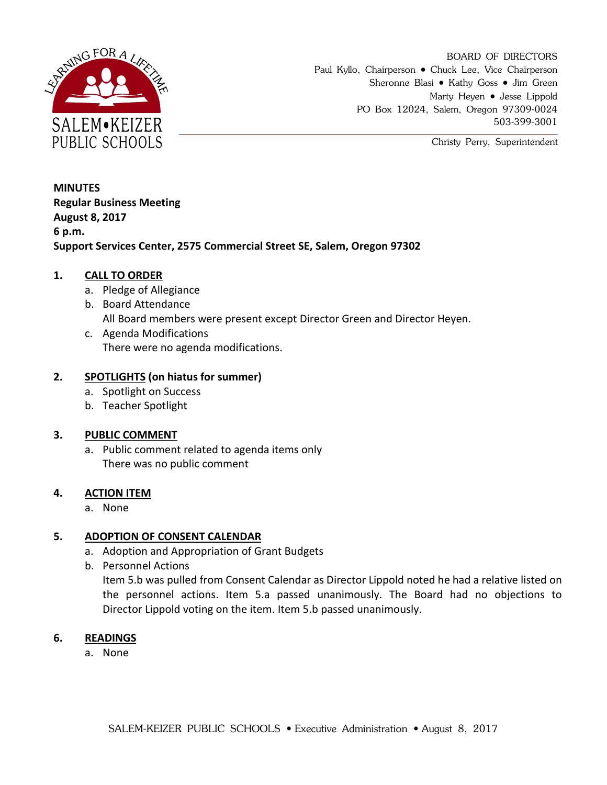

BOARD OF DIRECTORS Paul Kyllo, Chairperson • Chuck Lee, Vice Chairperson Sheronne Blasi • Kathy Goss • Jim Green Marty Heyen • Jesse Lippold PO Box 12024, Salem, Oregon 97309-0024 503-399-3001

Christy Perry, Superintendent

**MINUTES Regular Business Meeting August 8, 2017 6 p.m. Support Services Center, 2575 Commercial Street SE, Salem, Oregon 97302**

### **1. CALL TO ORDER**

- a. Pledge of Allegiance
- b. Board Attendance All Board members were present except Director Green and Director Heyen.
- c. Agenda Modifications There were no agenda modifications.

## **2. SPOTLIGHTS (on hiatus for summer)**

- a. Spotlight on Success
- b. Teacher Spotlight

### **3. PUBLIC COMMENT**

a. Public comment related to agenda items only There was no public comment

#### **4. ACTION ITEM**

a. None

# **5. ADOPTION OF CONSENT CALENDAR**

- a. Adoption and Appropriation of Grant Budgets
- b. Personnel Actions

Item 5.b was pulled from Consent Calendar as Director Lippold noted he had a relative listed on the personnel actions. Item 5.a passed unanimously. The Board had no objections to Director Lippold voting on the item. Item 5.b passed unanimously.

### **6. READINGS**

a. None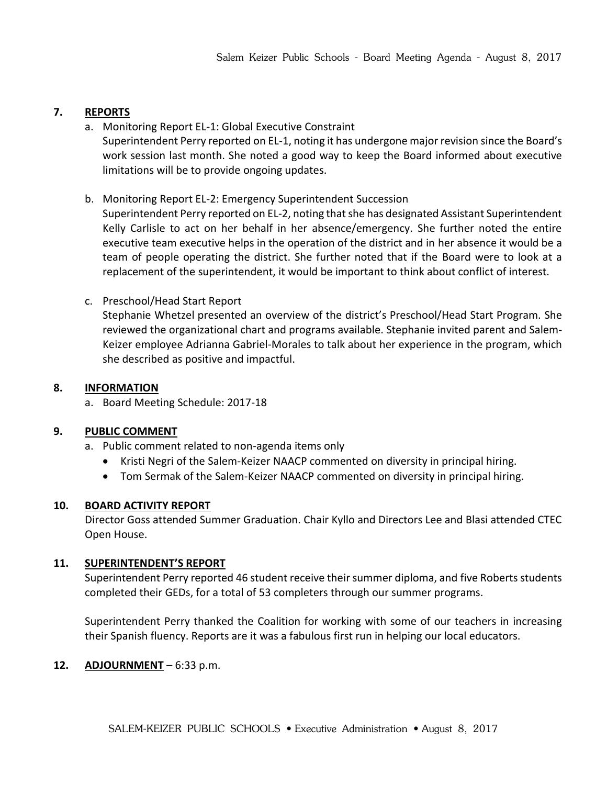## **7. REPORTS**

a. Monitoring Report EL-1: Global Executive Constraint

Superintendent Perry reported on EL-1, noting it has undergone major revision since the Board's work session last month. She noted a good way to keep the Board informed about executive limitations will be to provide ongoing updates.

b. Monitoring Report EL-2: Emergency Superintendent Succession

Superintendent Perry reported on EL-2, noting that she has designated Assistant Superintendent Kelly Carlisle to act on her behalf in her absence/emergency. She further noted the entire executive team executive helps in the operation of the district and in her absence it would be a team of people operating the district. She further noted that if the Board were to look at a replacement of the superintendent, it would be important to think about conflict of interest.

## c. Preschool/Head Start Report

Stephanie Whetzel presented an overview of the district's Preschool/Head Start Program. She reviewed the organizational chart and programs available. Stephanie invited parent and Salem-Keizer employee Adrianna Gabriel-Morales to talk about her experience in the program, which she described as positive and impactful.

### **8. INFORMATION**

a. Board Meeting Schedule: 2017-18

### **9. PUBLIC COMMENT**

- a. Public comment related to non-agenda items only
	- Kristi Negri of the Salem-Keizer NAACP commented on diversity in principal hiring.
	- Tom Sermak of the Salem-Keizer NAACP commented on diversity in principal hiring.

### **10. BOARD ACTIVITY REPORT**

Director Goss attended Summer Graduation. Chair Kyllo and Directors Lee and Blasi attended CTEC Open House.

### **11. SUPERINTENDENT'S REPORT**

Superintendent Perry reported 46 student receive their summer diploma, and five Roberts students completed their GEDs, for a total of 53 completers through our summer programs.

Superintendent Perry thanked the Coalition for working with some of our teachers in increasing their Spanish fluency. Reports are it was a fabulous first run in helping our local educators.

# **12. ADJOURNMENT** – 6:33 p.m.